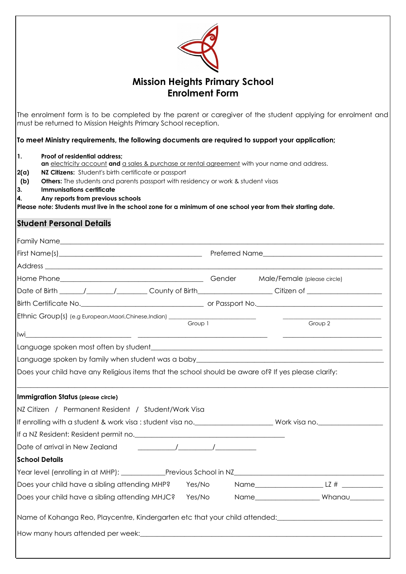| <b>Mission Heights Primary School</b><br><b>Enrolment Form</b> |                                                                                                                                                                                                                                                                                                                                                                                                                                                                             |  |  |  |  |  |  |  |  |
|----------------------------------------------------------------|-----------------------------------------------------------------------------------------------------------------------------------------------------------------------------------------------------------------------------------------------------------------------------------------------------------------------------------------------------------------------------------------------------------------------------------------------------------------------------|--|--|--|--|--|--|--|--|
|                                                                | The enrolment form is to be completed by the parent or caregiver of the student applying for enrolment and<br>must be returned to Mission Heights Primary School reception.                                                                                                                                                                                                                                                                                                 |  |  |  |  |  |  |  |  |
|                                                                | To meet Ministry requirements, the following documents are required to support your application;                                                                                                                                                                                                                                                                                                                                                                            |  |  |  |  |  |  |  |  |
| $\mathbf{1}$ .<br>2(a)<br>(b)<br>3.<br>4.                      | Proof of residential address;<br>an electricity account and a sales & purchase or rental agreement with your name and address.<br>NZ Citizens: Student's birth certificate or passport<br><b>Others:</b> The students and parents passport with residency or work & student visas<br><b>Immunisations certificate</b><br>Any reports from previous schools<br>Please note: Students must live in the school zone for a minimum of one school year from their starting date. |  |  |  |  |  |  |  |  |
|                                                                | <b>Student Personal Details</b>                                                                                                                                                                                                                                                                                                                                                                                                                                             |  |  |  |  |  |  |  |  |
|                                                                |                                                                                                                                                                                                                                                                                                                                                                                                                                                                             |  |  |  |  |  |  |  |  |
|                                                                |                                                                                                                                                                                                                                                                                                                                                                                                                                                                             |  |  |  |  |  |  |  |  |
|                                                                |                                                                                                                                                                                                                                                                                                                                                                                                                                                                             |  |  |  |  |  |  |  |  |
|                                                                |                                                                                                                                                                                                                                                                                                                                                                                                                                                                             |  |  |  |  |  |  |  |  |
|                                                                | Date of Birth _______/_________/__________County of Birth______________________Citizen of ____________________                                                                                                                                                                                                                                                                                                                                                              |  |  |  |  |  |  |  |  |
|                                                                |                                                                                                                                                                                                                                                                                                                                                                                                                                                                             |  |  |  |  |  |  |  |  |
| lwi                                                            | <u> 1980 - Jan Stein Stein Stein Stein Stein Stein Stein Stein Stein Stein Stein Stein Stein Stein Stein Stein S</u><br><u> 1989 - Johann Stoff, deutscher Stoffen und der Stoffen und der Stoffen und der Stoffen und der Stoffen und der </u>                                                                                                                                                                                                                             |  |  |  |  |  |  |  |  |
|                                                                |                                                                                                                                                                                                                                                                                                                                                                                                                                                                             |  |  |  |  |  |  |  |  |
|                                                                | Language spoken by family when student was a baby_______________________________                                                                                                                                                                                                                                                                                                                                                                                            |  |  |  |  |  |  |  |  |
|                                                                | Does your child have any Religious items that the school should be aware of? If yes please clarify:                                                                                                                                                                                                                                                                                                                                                                         |  |  |  |  |  |  |  |  |
|                                                                | <b>Immigration Status (please circle)</b>                                                                                                                                                                                                                                                                                                                                                                                                                                   |  |  |  |  |  |  |  |  |
|                                                                | NZ Citizen / Permanent Resident / Student/Work Visa                                                                                                                                                                                                                                                                                                                                                                                                                         |  |  |  |  |  |  |  |  |
|                                                                |                                                                                                                                                                                                                                                                                                                                                                                                                                                                             |  |  |  |  |  |  |  |  |
|                                                                |                                                                                                                                                                                                                                                                                                                                                                                                                                                                             |  |  |  |  |  |  |  |  |
|                                                                | Date of arrival in New Zealand [100] [100] [100] [100] [100] [100] [100] [100] [100] [100] [100] [100] [100] [                                                                                                                                                                                                                                                                                                                                                              |  |  |  |  |  |  |  |  |
|                                                                | <b>School Details</b>                                                                                                                                                                                                                                                                                                                                                                                                                                                       |  |  |  |  |  |  |  |  |
|                                                                | Year level (enrolling in at MHP): ___________Previous School in NZ__________________________________                                                                                                                                                                                                                                                                                                                                                                        |  |  |  |  |  |  |  |  |
|                                                                | Does your child have a sibling attending MHP?<br>Yes/No                                                                                                                                                                                                                                                                                                                                                                                                                     |  |  |  |  |  |  |  |  |
|                                                                | Does your child have a sibling attending MHJC?<br>Yes/No                                                                                                                                                                                                                                                                                                                                                                                                                    |  |  |  |  |  |  |  |  |
|                                                                | Name of Kohanga Reo, Playcentre, Kindergarten etc that your child attended: \\ \\ \\ \\ \\ \\ \\ \\ \\ \\ \\ \                                                                                                                                                                                                                                                                                                                                                              |  |  |  |  |  |  |  |  |
|                                                                |                                                                                                                                                                                                                                                                                                                                                                                                                                                                             |  |  |  |  |  |  |  |  |
|                                                                |                                                                                                                                                                                                                                                                                                                                                                                                                                                                             |  |  |  |  |  |  |  |  |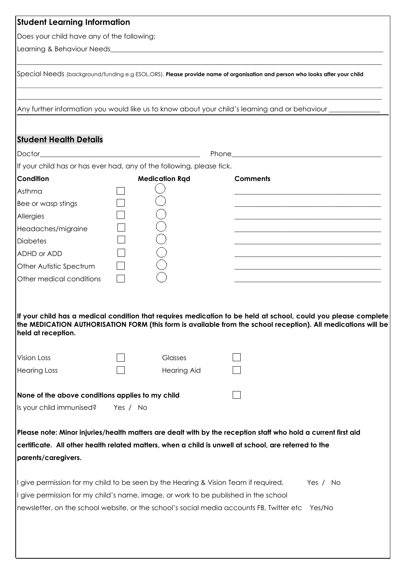| <b>Student Learning Information</b>                                                                                                                                        |          |                       |                                                                                                                                                                                                                                 |
|----------------------------------------------------------------------------------------------------------------------------------------------------------------------------|----------|-----------------------|---------------------------------------------------------------------------------------------------------------------------------------------------------------------------------------------------------------------------------|
| Does your child have any of the following;                                                                                                                                 |          |                       |                                                                                                                                                                                                                                 |
|                                                                                                                                                                            |          |                       |                                                                                                                                                                                                                                 |
|                                                                                                                                                                            |          |                       | Special Needs (background/funding e.g ESOL,ORS). Please provide name of organisation and person who looks after your child                                                                                                      |
|                                                                                                                                                                            |          |                       | Any further information you would like us to know about your child's learning and or behaviour ______________                                                                                                                   |
| <b>Student Health Details</b>                                                                                                                                              |          |                       |                                                                                                                                                                                                                                 |
|                                                                                                                                                                            |          |                       |                                                                                                                                                                                                                                 |
| If your child has or has ever had, any of the following, please tick.                                                                                                      |          |                       |                                                                                                                                                                                                                                 |
| Condition                                                                                                                                                                  |          | <b>Medication Rqd</b> | <b>Comments</b>                                                                                                                                                                                                                 |
| Asthma                                                                                                                                                                     |          |                       |                                                                                                                                                                                                                                 |
| Bee or wasp stings                                                                                                                                                         |          |                       | <u> 1989 - Johann John Stein, market fan it ferskearre fan it ferskearre fan it ferskearre fan it ferskearre fan </u>                                                                                                           |
| Allergies                                                                                                                                                                  |          |                       |                                                                                                                                                                                                                                 |
| Headaches/migraine                                                                                                                                                         |          |                       | <u> 1989 - Johann John Stein, mars an deus Amerikaansk kommunister (</u>                                                                                                                                                        |
| <b>Diabetes</b>                                                                                                                                                            |          |                       |                                                                                                                                                                                                                                 |
| ADHD or ADD                                                                                                                                                                |          |                       | <u> 1989 - Johann John Stone, mars and de final and de final and de final and de final and de final and de final</u>                                                                                                            |
| Other Autistic Spectrum                                                                                                                                                    |          |                       |                                                                                                                                                                                                                                 |
| Other medical conditions                                                                                                                                                   |          |                       |                                                                                                                                                                                                                                 |
| held at reception.<br>Vision Loss                                                                                                                                          |          | Glasses               | If your child has a medical condition that requires medication to be held at school, could you please complete<br>the MEDICATION AUTHORISATION FORM (this form is available from the school reception). All medications will be |
| <b>Hearing Loss</b>                                                                                                                                                        |          | <b>Hearing Aid</b>    |                                                                                                                                                                                                                                 |
|                                                                                                                                                                            |          |                       |                                                                                                                                                                                                                                 |
| None of the above conditions applies to my child                                                                                                                           |          |                       |                                                                                                                                                                                                                                 |
| Is your child immunised?                                                                                                                                                   | Yes / No |                       |                                                                                                                                                                                                                                 |
| parents/caregivers.                                                                                                                                                        |          |                       | Please note: Minor injuries/health matters are dealt with by the reception staff who hold a current first aid<br>certificate. All other health related matters, when a child is unwell at school, are referred to the           |
| I give permission for my child to be seen by the Hearing & Vision Team if required.<br>I give permission for my child's name, image, or work to be published in the school |          |                       | Yes / No<br>newsletter, on the school website, or the school's social media accounts FB, Twitter etc<br>Yes/No                                                                                                                  |
|                                                                                                                                                                            |          |                       |                                                                                                                                                                                                                                 |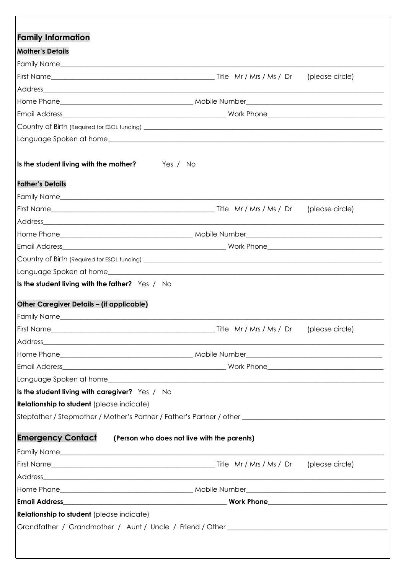| <b>Mother's Details</b>                                                                                                                                                                                                        |                                             |                 |
|--------------------------------------------------------------------------------------------------------------------------------------------------------------------------------------------------------------------------------|---------------------------------------------|-----------------|
|                                                                                                                                                                                                                                |                                             |                 |
|                                                                                                                                                                                                                                |                                             |                 |
| <u> 1989 - Andrea Santa Alemania, amerikana amerikana amerikana amerikana amerikana amerikana amerikana amerikan</u><br>Address                                                                                                |                                             |                 |
|                                                                                                                                                                                                                                |                                             |                 |
|                                                                                                                                                                                                                                |                                             |                 |
|                                                                                                                                                                                                                                |                                             |                 |
|                                                                                                                                                                                                                                |                                             |                 |
| Is the student living with the mother?<br>Yes / No                                                                                                                                                                             |                                             |                 |
| <b>Father's Details</b>                                                                                                                                                                                                        |                                             |                 |
|                                                                                                                                                                                                                                |                                             |                 |
|                                                                                                                                                                                                                                |                                             |                 |
| Address Address Address Address Address Address Address Address Address Address Address Address Address Address Address Address Address Address Address Address Address Address Address Address Address Address Address Addres |                                             |                 |
|                                                                                                                                                                                                                                |                                             |                 |
|                                                                                                                                                                                                                                |                                             |                 |
|                                                                                                                                                                                                                                |                                             |                 |
|                                                                                                                                                                                                                                |                                             |                 |
|                                                                                                                                                                                                                                |                                             |                 |
|                                                                                                                                                                                                                                |                                             |                 |
|                                                                                                                                                                                                                                |                                             | (please circle) |
|                                                                                                                                                                                                                                |                                             |                 |
| Is the student living with the father? Yes / No<br>Other Caregiver Details - (if applicable)                                                                                                                                   |                                             |                 |
|                                                                                                                                                                                                                                |                                             |                 |
|                                                                                                                                                                                                                                |                                             |                 |
|                                                                                                                                                                                                                                |                                             |                 |
|                                                                                                                                                                                                                                |                                             |                 |
| Is the student living with caregiver? Yes / No<br><b>Relationship to student</b> (please indicate)<br>Stepfather / Stepmother / Mother's Partner / Father's Partner / other ______________________________                     |                                             |                 |
| <b>Emergency Contact</b>                                                                                                                                                                                                       | (Person who does not live with the parents) |                 |
|                                                                                                                                                                                                                                |                                             |                 |
|                                                                                                                                                                                                                                |                                             | (please circle) |
|                                                                                                                                                                                                                                |                                             |                 |
|                                                                                                                                                                                                                                |                                             |                 |
|                                                                                                                                                                                                                                |                                             |                 |
| <b>Relationship to student</b> (please indicate)                                                                                                                                                                               |                                             |                 |